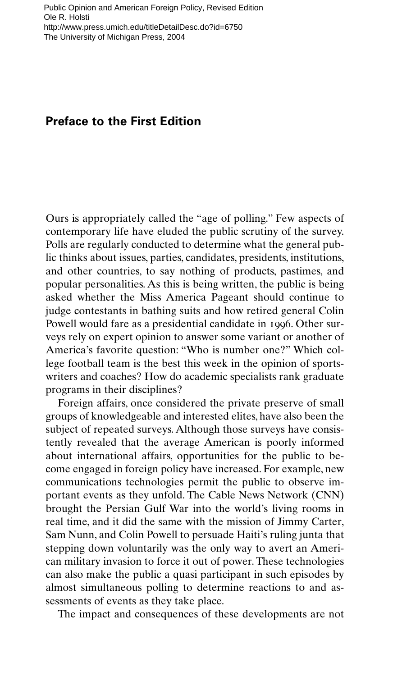## **Preface to the First Edition**

Ours is appropriately called the "age of polling." Few aspects of contemporary life have eluded the public scrutiny of the survey. Polls are regularly conducted to determine what the general public thinks about issues, parties, candidates, presidents, institutions, and other countries, to say nothing of products, pastimes, and popular personalities. As this is being written, the public is being asked whether the Miss America Pageant should continue to judge contestants in bathing suits and how retired general Colin Powell would fare as a presidential candidate in 1996. Other surveys rely on expert opinion to answer some variant or another of America's favorite question: "Who is number one?" Which college football team is the best this week in the opinion of sportswriters and coaches? How do academic specialists rank graduate programs in their disciplines?

Foreign affairs, once considered the private preserve of small groups of knowledgeable and interested elites, have also been the subject of repeated surveys. Although those surveys have consistently revealed that the average American is poorly informed about international affairs, opportunities for the public to become engaged in foreign policy have increased. For example, new communications technologies permit the public to observe important events as they unfold. The Cable News Network (CNN) brought the Persian Gulf War into the world's living rooms in real time, and it did the same with the mission of Jimmy Carter, Sam Nunn, and Colin Powell to persuade Haiti's ruling junta that stepping down voluntarily was the only way to avert an American military invasion to force it out of power. These technologies can also make the public a quasi participant in such episodes by almost simultaneous polling to determine reactions to and assessments of events as they take place.

The impact and consequences of these developments are not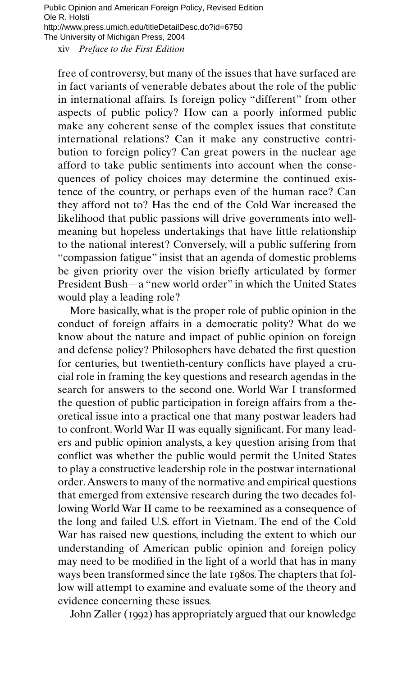Public Opinion and American Foreign Policy, Revised Edition Ole R. Holsti http://www.press.umich.edu/titleDetailDesc.do?id=6750 The University of Michigan Press, 2004

xiv *Preface to the First Edition*

free of controversy, but many of the issues that have surfaced are in fact variants of venerable debates about the role of the public in international affairs. Is foreign policy "different" from other aspects of public policy? How can a poorly informed public make any coherent sense of the complex issues that constitute international relations? Can it make any constructive contribution to foreign policy? Can great powers in the nuclear age afford to take public sentiments into account when the consequences of policy choices may determine the continued existence of the country, or perhaps even of the human race? Can they afford not to? Has the end of the Cold War increased the likelihood that public passions will drive governments into wellmeaning but hopeless undertakings that have little relationship to the national interest? Conversely, will a public suffering from "compassion fatigue" insist that an agenda of domestic problems be given priority over the vision briefly articulated by former President Bush—a "new world order" in which the United States would play a leading role?

More basically, what is the proper role of public opinion in the conduct of foreign affairs in a democratic polity? What do we know about the nature and impact of public opinion on foreign and defense policy? Philosophers have debated the first question for centuries, but twentieth-century conflicts have played a crucial role in framing the key questions and research agendas in the search for answers to the second one. World War I transformed the question of public participation in foreign affairs from a theoretical issue into a practical one that many postwar leaders had to confront. World War II was equally significant. For many leaders and public opinion analysts, a key question arising from that conflict was whether the public would permit the United States to play a constructive leadership role in the postwar international order.Answers to many of the normative and empirical questions that emerged from extensive research during the two decades following World War II came to be reexamined as a consequence of the long and failed U.S. effort in Vietnam. The end of the Cold War has raised new questions, including the extent to which our understanding of American public opinion and foreign policy may need to be modified in the light of a world that has in many ways been transformed since the late 1980s.The chapters that follow will attempt to examine and evaluate some of the theory and evidence concerning these issues.

John Zaller (1992) has appropriately argued that our knowledge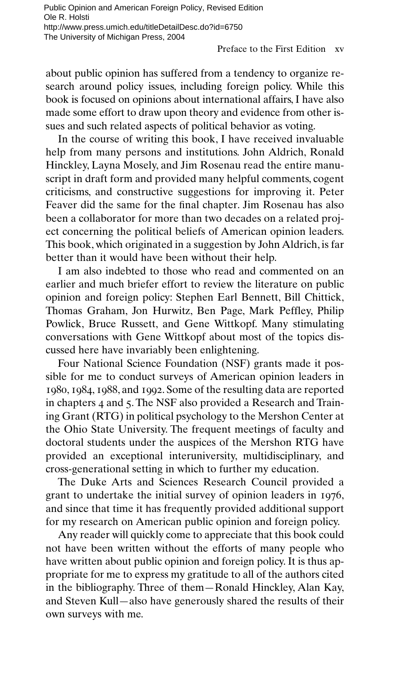Public Opinion and American Foreign Policy, Revised Edition Ole R. Holsti http://www.press.umich.edu/titleDetailDesc.do?id=6750 The University of Michigan Press, 2004

Preface to the First Edition xv

about public opinion has suffered from a tendency to organize research around policy issues, including foreign policy. While this book is focused on opinions about international affairs, I have also made some effort to draw upon theory and evidence from other issues and such related aspects of political behavior as voting.

In the course of writing this book, I have received invaluable help from many persons and institutions. John Aldrich, Ronald Hinckley, Layna Mosely, and Jim Rosenau read the entire manuscript in draft form and provided many helpful comments, cogent criticisms, and constructive suggestions for improving it. Peter Feaver did the same for the final chapter. Jim Rosenau has also been a collaborator for more than two decades on a related project concerning the political beliefs of American opinion leaders. This book, which originated in a suggestion by John Aldrich, is far better than it would have been without their help.

I am also indebted to those who read and commented on an earlier and much briefer effort to review the literature on public opinion and foreign policy: Stephen Earl Bennett, Bill Chittick, Thomas Graham, Jon Hurwitz, Ben Page, Mark Peffley, Philip Powlick, Bruce Russett, and Gene Wittkopf. Many stimulating conversations with Gene Wittkopf about most of the topics discussed here have invariably been enlightening.

Four National Science Foundation (NSF) grants made it possible for me to conduct surveys of American opinion leaders in 1980, 1984, 1988, and 1992. Some of the resulting data are reported in chapters 4 and 5. The NSF also provided a Research and Training Grant (RTG) in political psychology to the Mershon Center at the Ohio State University. The frequent meetings of faculty and doctoral students under the auspices of the Mershon RTG have provided an exceptional interuniversity, multidisciplinary, and cross-generational setting in which to further my education.

The Duke Arts and Sciences Research Council provided a grant to undertake the initial survey of opinion leaders in 1976, and since that time it has frequently provided additional support for my research on American public opinion and foreign policy.

Any reader will quickly come to appreciate that this book could not have been written without the efforts of many people who have written about public opinion and foreign policy. It is thus appropriate for me to express my gratitude to all of the authors cited in the bibliography. Three of them—Ronald Hinckley, Alan Kay, and Steven Kull—also have generously shared the results of their own surveys with me.